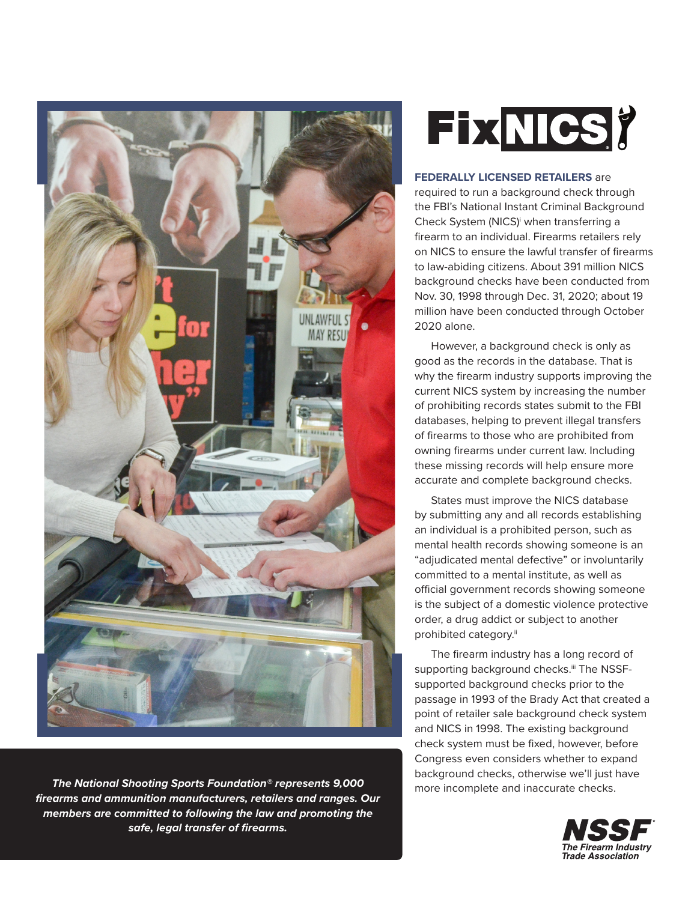

**The National Shooting Sports Foundation**® represents 9,000 *The Mational Inaccurate checks. firearms and ammunition manufacturers, retailers and ranges. Our members are committed to following the law and promoting the safe, legal transfer of firearms.*

# **FixNICS?**

### **FEDERALLY LICENSED RETAILERS** are

required to run a background check through the FBI's National Instant Criminal Background Check System (NICS)<sup>i</sup> when transferring a firearm to an individual. Firearms retailers rely on NICS to ensure the lawful transfer of firearms to law-abiding citizens. About 391 million NICS background checks have been conducted from Nov. 30, 1998 through Dec. 31, 2020; about 19 million have been conducted through October 2020 alone.

However, a background check is only as good as the records in the database. That is why the firearm industry supports improving the current NICS system by increasing the number of prohibiting records states submit to the FBI databases, helping to prevent illegal transfers of firearms to those who are prohibited from owning firearms under current law. Including these missing records will help ensure more accurate and complete background checks.

States must improve the NICS database by submitting any and all records establishing an individual is a prohibited person, such as mental health records showing someone is an "adjudicated mental defective" or involuntarily committed to a mental institute, as well as official government records showing someone is the subject of a domestic violence protective order, a drug addict or subject to another prohibited category.<sup>ii</sup>

The firearm industry has a long record of supporting background checks.iii The NSSFsupported background checks prior to the passage in 1993 of the Brady Act that created a point of retailer sale background check system and NICS in 1998. The existing background check system must be fixed, however, before Congress even considers whether to expand background checks, otherwise we'll just have

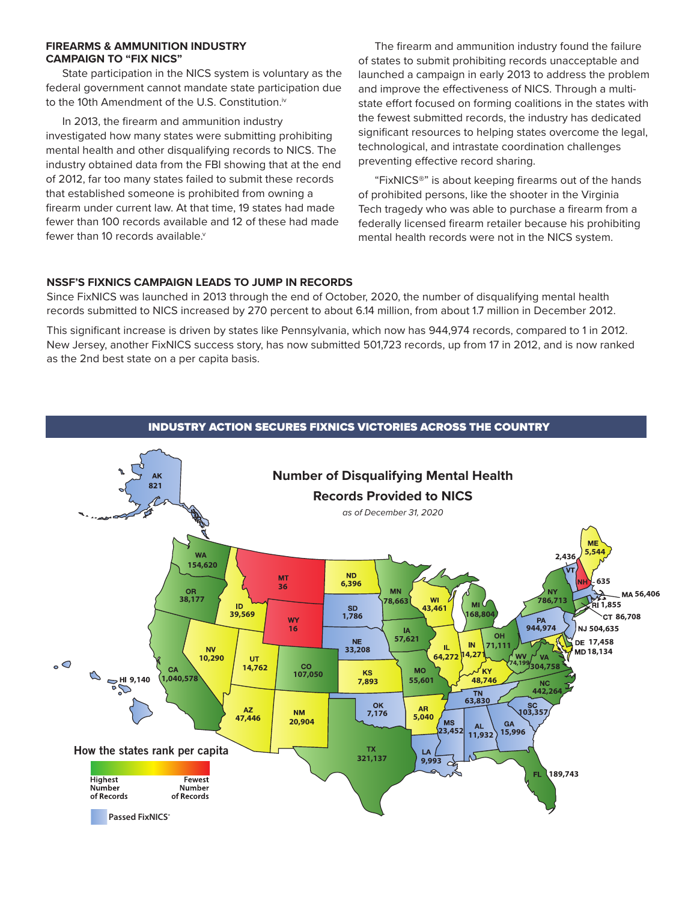#### **FIREARMS & AMMUNITION INDUSTRY CAMPAIGN TO "FIX NICS"**

State participation in the NICS system is voluntary as the federal government cannot mandate state participation due to the 10th Amendment of the U.S. Constitution.<sup>iv</sup>

In 2013, the firearm and ammunition industry investigated how many states were submitting prohibiting mental health and other disqualifying records to NICS. The industry obtained data from the FBI showing that at the end of 2012, far too many states failed to submit these records that established someone is prohibited from owning a firearm under current law. At that time, 19 states had made fewer than 100 records available and 12 of these had made fewer than 10 records available.<sup>v</sup>

The firearm and ammunition industry found the failure of states to submit prohibiting records unacceptable and launched a campaign in early 2013 to address the problem and improve the effectiveness of NICS. Through a multistate effort focused on forming coalitions in the states with the fewest submitted records, the industry has dedicated significant resources to helping states overcome the legal, technological, and intrastate coordination challenges preventing effective record sharing.

"FixNICS®" is about keeping firearms out of the hands of prohibited persons, like the shooter in the Virginia Tech tragedy who was able to purchase a firearm from a federally licensed firearm retailer because his prohibiting mental health records were not in the NICS system.

## **NSSF'S FIXNICS CAMPAIGN LEADS TO JUMP IN RECORDS**

Since FixNICS was launched in 2013 through the end of October, 2020, the number of disqualifying mental health records submitted to NICS increased by 270 percent to about 6.14 million, from about 1.7 million in December 2012.

This significant increase is driven by states like Pennsylvania, which now has 944,974 records, compared to 1 in 2012. New Jersey, another FixNICS success story, has now submitted 501,723 records, up from 17 in 2012, and is now ranked as the 2nd best state on a per capita basis.

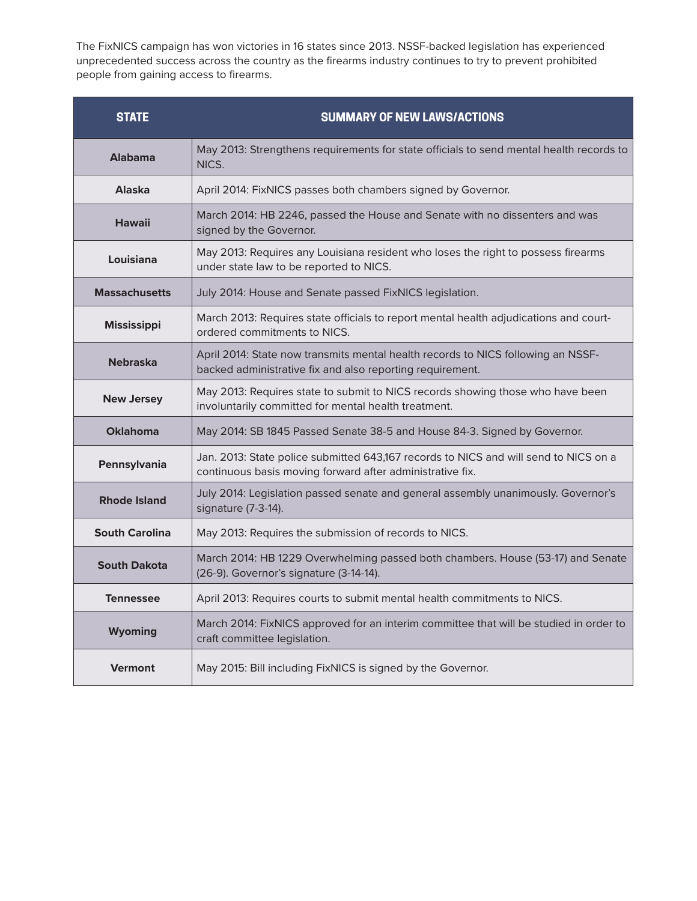The FixNICS campaign has won victories in 16 states since 2013. NSSF-backed legislation has experienced unprecedented success across the country as the firearms industry continues to try to prevent prohibited people from gaining access to firearms.

| <b>STATE</b>          | <b>SUMMARY OF NEW LAWS/ACTIONS</b>                                                                                                                |
|-----------------------|---------------------------------------------------------------------------------------------------------------------------------------------------|
| <b>Alabama</b>        | May 2013: Strengthens requirements for state officials to send mental health records to<br>NICS.                                                  |
| <b>Alaska</b>         | April 2014: FixNICS passes both chambers signed by Governor.                                                                                      |
| <b>Hawaii</b>         | March 2014: HB 2246, passed the House and Senate with no dissenters and was<br>signed by the Governor.                                            |
| Louisiana             | May 2013: Requires any Louisiana resident who loses the right to possess firearms<br>under state law to be reported to NICS.                      |
| <b>Massachusetts</b>  | July 2014: House and Senate passed FixNICS legislation.                                                                                           |
| <b>Mississippi</b>    | March 2013: Requires state officials to report mental health adjudications and court-<br>ordered commitments to NICS.                             |
| <b>Nebraska</b>       | April 2014: State now transmits mental health records to NICS following an NSSF-<br>backed administrative fix and also reporting requirement.     |
| <b>New Jersey</b>     | May 2013: Requires state to submit to NICS records showing those who have been<br>involuntarily committed for mental health treatment.            |
| <b>Oklahoma</b>       | May 2014: SB 1845 Passed Senate 38-5 and House 84-3. Signed by Governor.                                                                          |
| Pennsylvania          | Jan. 2013: State police submitted 643,167 records to NICS and will send to NICS on a<br>continuous basis moving forward after administrative fix. |
| <b>Rhode Island</b>   | July 2014: Legislation passed senate and general assembly unanimously. Governor's<br>signature (7-3-14).                                          |
| <b>South Carolina</b> | May 2013: Requires the submission of records to NICS.                                                                                             |
| <b>South Dakota</b>   | March 2014: HB 1229 Overwhelming passed both chambers. House (53-17) and Senate<br>(26-9). Governor's signature (3-14-14).                        |
| <b>Tennessee</b>      | April 2013: Requires courts to submit mental health commitments to NICS.                                                                          |
| <b>Wyoming</b>        | March 2014: FixNICS approved for an interim committee that will be studied in order to<br>craft committee legislation.                            |
| <b>Vermont</b>        | May 2015: Bill including FixNICS is signed by the Governor.                                                                                       |